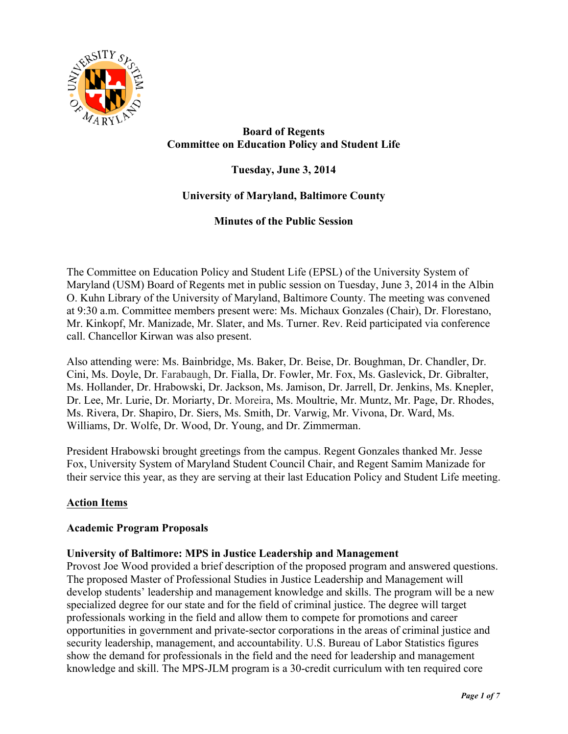

# **Board of Regents Committee on Education Policy and Student Life**

**Tuesday, June 3, 2014**

## **University of Maryland, Baltimore County**

**Minutes of the Public Session**

The Committee on Education Policy and Student Life (EPSL) of the University System of Maryland (USM) Board of Regents met in public session on Tuesday, June 3, 2014 in the Albin O. Kuhn Library of the University of Maryland, Baltimore County. The meeting was convened at 9:30 a.m. Committee members present were: Ms. Michaux Gonzales (Chair), Dr. Florestano, Mr. Kinkopf, Mr. Manizade, Mr. Slater, and Ms. Turner. Rev. Reid participated via conference call. Chancellor Kirwan was also present.

Also attending were: Ms. Bainbridge, Ms. Baker, Dr. Beise, Dr. Boughman, Dr. Chandler, Dr. Cini, Ms. Doyle, Dr. Farabaugh, Dr. Fialla, Dr. Fowler, Mr. Fox, Ms. Gaslevick, Dr. Gibralter, Ms. Hollander, Dr. Hrabowski, Dr. Jackson, Ms. Jamison, Dr. Jarrell, Dr. Jenkins, Ms. Knepler, Dr. Lee, Mr. Lurie, Dr. Moriarty, Dr. Moreira, Ms. Moultrie, Mr. Muntz, Mr. Page, Dr. Rhodes, Ms. Rivera, Dr. Shapiro, Dr. Siers, Ms. Smith, Dr. Varwig, Mr. Vivona, Dr. Ward, Ms. Williams, Dr. Wolfe, Dr. Wood, Dr. Young, and Dr. Zimmerman.

President Hrabowski brought greetings from the campus. Regent Gonzales thanked Mr. Jesse Fox, University System of Maryland Student Council Chair, and Regent Samim Manizade for their service this year, as they are serving at their last Education Policy and Student Life meeting.

## **Action Items**

### **Academic Program Proposals**

### **University of Baltimore: MPS in Justice Leadership and Management**

Provost Joe Wood provided a brief description of the proposed program and answered questions. The proposed Master of Professional Studies in Justice Leadership and Management will develop students' leadership and management knowledge and skills. The program will be a new specialized degree for our state and for the field of criminal justice. The degree will target professionals working in the field and allow them to compete for promotions and career opportunities in government and private-sector corporations in the areas of criminal justice and security leadership, management, and accountability. U.S. Bureau of Labor Statistics figures show the demand for professionals in the field and the need for leadership and management knowledge and skill. The MPS-JLM program is a 30-credit curriculum with ten required core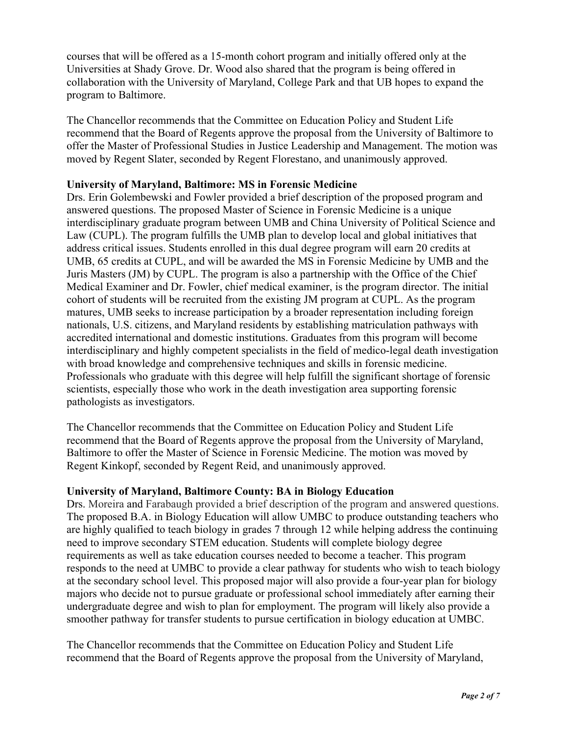courses that will be offered as a 15-month cohort program and initially offered only at the Universities at Shady Grove. Dr. Wood also shared that the program is being offered in collaboration with the University of Maryland, College Park and that UB hopes to expand the program to Baltimore.

The Chancellor recommends that the Committee on Education Policy and Student Life recommend that the Board of Regents approve the proposal from the University of Baltimore to offer the Master of Professional Studies in Justice Leadership and Management. The motion was moved by Regent Slater, seconded by Regent Florestano, and unanimously approved.

### **University of Maryland, Baltimore: MS in Forensic Medicine**

Drs. Erin Golembewski and Fowler provided a brief description of the proposed program and answered questions. The proposed Master of Science in Forensic Medicine is a unique interdisciplinary graduate program between UMB and China University of Political Science and Law (CUPL). The program fulfills the UMB plan to develop local and global initiatives that address critical issues. Students enrolled in this dual degree program will earn 20 credits at UMB, 65 credits at CUPL, and will be awarded the MS in Forensic Medicine by UMB and the Juris Masters (JM) by CUPL. The program is also a partnership with the Office of the Chief Medical Examiner and Dr. Fowler, chief medical examiner, is the program director. The initial cohort of students will be recruited from the existing JM program at CUPL. As the program matures, UMB seeks to increase participation by a broader representation including foreign nationals, U.S. citizens, and Maryland residents by establishing matriculation pathways with accredited international and domestic institutions. Graduates from this program will become interdisciplinary and highly competent specialists in the field of medico-legal death investigation with broad knowledge and comprehensive techniques and skills in forensic medicine. Professionals who graduate with this degree will help fulfill the significant shortage of forensic scientists, especially those who work in the death investigation area supporting forensic pathologists as investigators.

The Chancellor recommends that the Committee on Education Policy and Student Life recommend that the Board of Regents approve the proposal from the University of Maryland, Baltimore to offer the Master of Science in Forensic Medicine. The motion was moved by Regent Kinkopf, seconded by Regent Reid, and unanimously approved.

### **University of Maryland, Baltimore County: BA in Biology Education**

Drs. Moreira and Farabaugh provided a brief description of the program and answered questions. The proposed B.A. in Biology Education will allow UMBC to produce outstanding teachers who are highly qualified to teach biology in grades 7 through 12 while helping address the continuing need to improve secondary STEM education. Students will complete biology degree requirements as well as take education courses needed to become a teacher. This program responds to the need at UMBC to provide a clear pathway for students who wish to teach biology at the secondary school level. This proposed major will also provide a four-year plan for biology majors who decide not to pursue graduate or professional school immediately after earning their undergraduate degree and wish to plan for employment. The program will likely also provide a smoother pathway for transfer students to pursue certification in biology education at UMBC.

The Chancellor recommends that the Committee on Education Policy and Student Life recommend that the Board of Regents approve the proposal from the University of Maryland,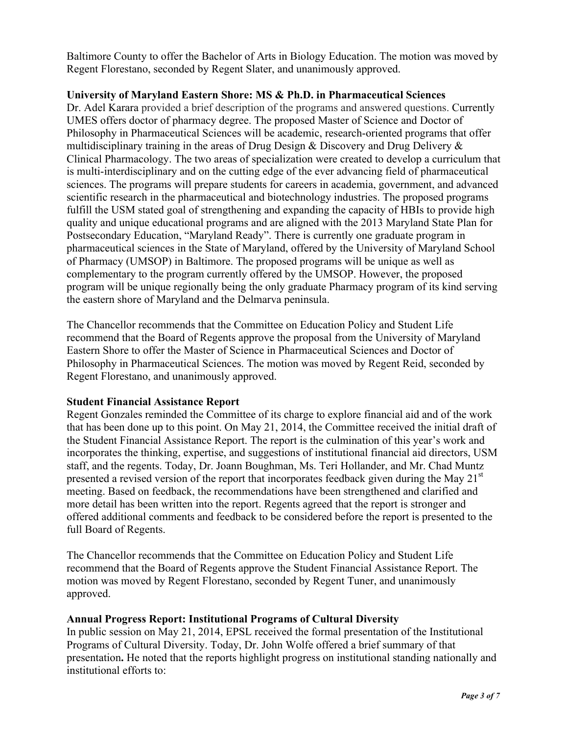Baltimore County to offer the Bachelor of Arts in Biology Education. The motion was moved by Regent Florestano, seconded by Regent Slater, and unanimously approved.

### **University of Maryland Eastern Shore: MS & Ph.D. in Pharmaceutical Sciences**

Dr. Adel Karara provided a brief description of the programs and answered questions. Currently UMES offers doctor of pharmacy degree. The proposed Master of Science and Doctor of Philosophy in Pharmaceutical Sciences will be academic, research-oriented programs that offer multidisciplinary training in the areas of Drug Design  $\&$  Discovery and Drug Delivery  $\&$ Clinical Pharmacology. The two areas of specialization were created to develop a curriculum that is multi-interdisciplinary and on the cutting edge of the ever advancing field of pharmaceutical sciences. The programs will prepare students for careers in academia, government, and advanced scientific research in the pharmaceutical and biotechnology industries. The proposed programs fulfill the USM stated goal of strengthening and expanding the capacity of HBIs to provide high quality and unique educational programs and are aligned with the 2013 Maryland State Plan for Postsecondary Education, "Maryland Ready". There is currently one graduate program in pharmaceutical sciences in the State of Maryland, offered by the University of Maryland School of Pharmacy (UMSOP) in Baltimore. The proposed programs will be unique as well as complementary to the program currently offered by the UMSOP. However, the proposed program will be unique regionally being the only graduate Pharmacy program of its kind serving the eastern shore of Maryland and the Delmarva peninsula.

The Chancellor recommends that the Committee on Education Policy and Student Life recommend that the Board of Regents approve the proposal from the University of Maryland Eastern Shore to offer the Master of Science in Pharmaceutical Sciences and Doctor of Philosophy in Pharmaceutical Sciences. The motion was moved by Regent Reid, seconded by Regent Florestano, and unanimously approved.

## **Student Financial Assistance Report**

Regent Gonzales reminded the Committee of its charge to explore financial aid and of the work that has been done up to this point. On May 21, 2014, the Committee received the initial draft of the Student Financial Assistance Report. The report is the culmination of this year's work and incorporates the thinking, expertise, and suggestions of institutional financial aid directors, USM staff, and the regents. Today, Dr. Joann Boughman, Ms. Teri Hollander, and Mr. Chad Muntz presented a revised version of the report that incorporates feedback given during the May  $21<sup>st</sup>$ meeting. Based on feedback, the recommendations have been strengthened and clarified and more detail has been written into the report. Regents agreed that the report is stronger and offered additional comments and feedback to be considered before the report is presented to the full Board of Regents.

The Chancellor recommends that the Committee on Education Policy and Student Life recommend that the Board of Regents approve the Student Financial Assistance Report. The motion was moved by Regent Florestano, seconded by Regent Tuner, and unanimously approved.

## **Annual Progress Report: Institutional Programs of Cultural Diversity**

In public session on May 21, 2014, EPSL received the formal presentation of the Institutional Programs of Cultural Diversity. Today, Dr. John Wolfe offered a brief summary of that presentation**.** He noted that the reports highlight progress on institutional standing nationally and institutional efforts to: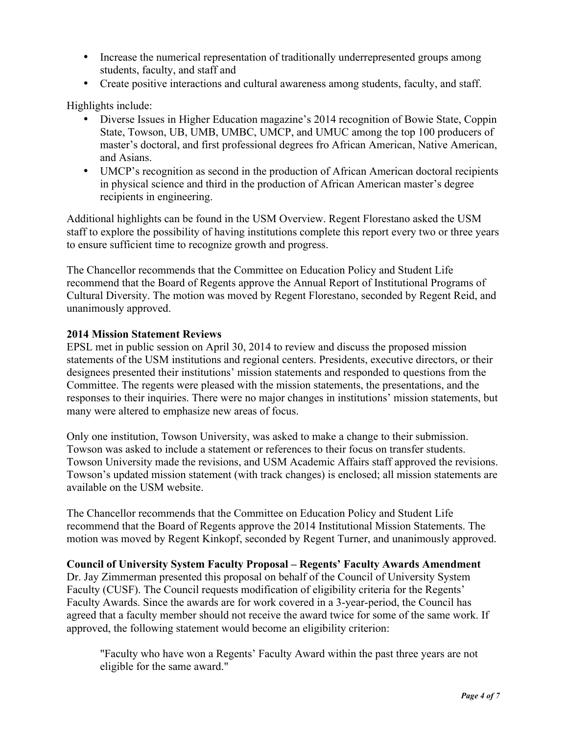- Increase the numerical representation of traditionally underrepresented groups among students, faculty, and staff and
- Create positive interactions and cultural awareness among students, faculty, and staff.

Highlights include:

- Diverse Issues in Higher Education magazine's 2014 recognition of Bowie State, Coppin State, Towson, UB, UMB, UMBC, UMCP, and UMUC among the top 100 producers of master's doctoral, and first professional degrees fro African American, Native American, and Asians.
- UMCP's recognition as second in the production of African American doctoral recipients in physical science and third in the production of African American master's degree recipients in engineering.

Additional highlights can be found in the USM Overview. Regent Florestano asked the USM staff to explore the possibility of having institutions complete this report every two or three years to ensure sufficient time to recognize growth and progress.

The Chancellor recommends that the Committee on Education Policy and Student Life recommend that the Board of Regents approve the Annual Report of Institutional Programs of Cultural Diversity. The motion was moved by Regent Florestano, seconded by Regent Reid, and unanimously approved.

### **2014 Mission Statement Reviews**

EPSL met in public session on April 30, 2014 to review and discuss the proposed mission statements of the USM institutions and regional centers. Presidents, executive directors, or their designees presented their institutions' mission statements and responded to questions from the Committee. The regents were pleased with the mission statements, the presentations, and the responses to their inquiries. There were no major changes in institutions' mission statements, but many were altered to emphasize new areas of focus.

Only one institution, Towson University, was asked to make a change to their submission. Towson was asked to include a statement or references to their focus on transfer students. Towson University made the revisions, and USM Academic Affairs staff approved the revisions. Towson's updated mission statement (with track changes) is enclosed; all mission statements are available on the USM website.

The Chancellor recommends that the Committee on Education Policy and Student Life recommend that the Board of Regents approve the 2014 Institutional Mission Statements. The motion was moved by Regent Kinkopf, seconded by Regent Turner, and unanimously approved.

### **Council of University System Faculty Proposal – Regents' Faculty Awards Amendment**

Dr. Jay Zimmerman presented this proposal on behalf of the Council of University System Faculty (CUSF). The Council requests modification of eligibility criteria for the Regents' Faculty Awards. Since the awards are for work covered in a 3-year-period, the Council has agreed that a faculty member should not receive the award twice for some of the same work. If approved, the following statement would become an eligibility criterion:

"Faculty who have won a Regents' Faculty Award within the past three years are not eligible for the same award."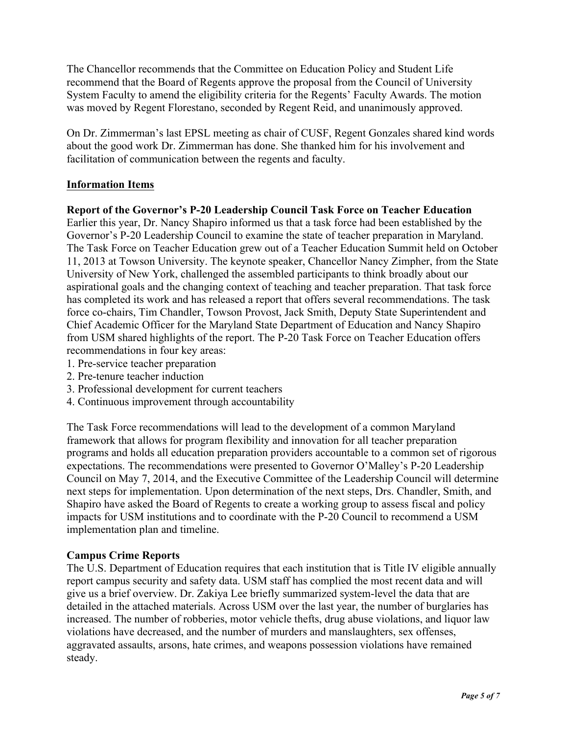The Chancellor recommends that the Committee on Education Policy and Student Life recommend that the Board of Regents approve the proposal from the Council of University System Faculty to amend the eligibility criteria for the Regents' Faculty Awards. The motion was moved by Regent Florestano, seconded by Regent Reid, and unanimously approved.

On Dr. Zimmerman's last EPSL meeting as chair of CUSF, Regent Gonzales shared kind words about the good work Dr. Zimmerman has done. She thanked him for his involvement and facilitation of communication between the regents and faculty.

## **Information Items**

### **Report of the Governor's P-20 Leadership Council Task Force on Teacher Education**

Earlier this year, Dr. Nancy Shapiro informed us that a task force had been established by the Governor's P-20 Leadership Council to examine the state of teacher preparation in Maryland. The Task Force on Teacher Education grew out of a Teacher Education Summit held on October 11, 2013 at Towson University. The keynote speaker, Chancellor Nancy Zimpher, from the State University of New York, challenged the assembled participants to think broadly about our aspirational goals and the changing context of teaching and teacher preparation. That task force has completed its work and has released a report that offers several recommendations. The task force co-chairs, Tim Chandler, Towson Provost, Jack Smith, Deputy State Superintendent and Chief Academic Officer for the Maryland State Department of Education and Nancy Shapiro from USM shared highlights of the report. The P-20 Task Force on Teacher Education offers recommendations in four key areas:

- 1. Pre-service teacher preparation
- 2. Pre-tenure teacher induction
- 3. Professional development for current teachers
- 4. Continuous improvement through accountability

The Task Force recommendations will lead to the development of a common Maryland framework that allows for program flexibility and innovation for all teacher preparation programs and holds all education preparation providers accountable to a common set of rigorous expectations. The recommendations were presented to Governor O'Malley's P-20 Leadership Council on May 7, 2014, and the Executive Committee of the Leadership Council will determine next steps for implementation. Upon determination of the next steps, Drs. Chandler, Smith, and Shapiro have asked the Board of Regents to create a working group to assess fiscal and policy impacts for USM institutions and to coordinate with the P-20 Council to recommend a USM implementation plan and timeline.

## **Campus Crime Reports**

The U.S. Department of Education requires that each institution that is Title IV eligible annually report campus security and safety data. USM staff has complied the most recent data and will give us a brief overview. Dr. Zakiya Lee briefly summarized system-level the data that are detailed in the attached materials. Across USM over the last year, the number of burglaries has increased. The number of robberies, motor vehicle thefts, drug abuse violations, and liquor law violations have decreased, and the number of murders and manslaughters, sex offenses, aggravated assaults, arsons, hate crimes, and weapons possession violations have remained steady.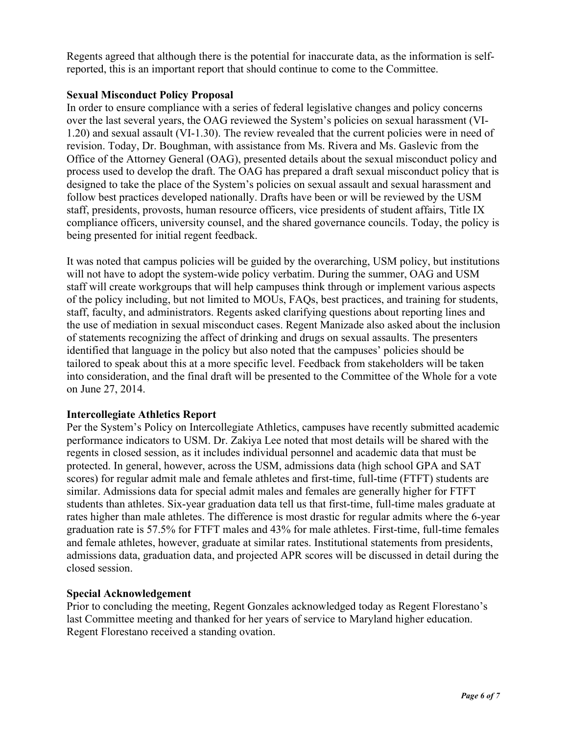Regents agreed that although there is the potential for inaccurate data, as the information is selfreported, this is an important report that should continue to come to the Committee.

### **Sexual Misconduct Policy Proposal**

In order to ensure compliance with a series of federal legislative changes and policy concerns over the last several years, the OAG reviewed the System's policies on sexual harassment (VI-1.20) and sexual assault (VI-1.30). The review revealed that the current policies were in need of revision. Today, Dr. Boughman, with assistance from Ms. Rivera and Ms. Gaslevic from the Office of the Attorney General (OAG), presented details about the sexual misconduct policy and process used to develop the draft. The OAG has prepared a draft sexual misconduct policy that is designed to take the place of the System's policies on sexual assault and sexual harassment and follow best practices developed nationally. Drafts have been or will be reviewed by the USM staff, presidents, provosts, human resource officers, vice presidents of student affairs, Title IX compliance officers, university counsel, and the shared governance councils. Today, the policy is being presented for initial regent feedback.

It was noted that campus policies will be guided by the overarching, USM policy, but institutions will not have to adopt the system-wide policy verbatim. During the summer, OAG and USM staff will create workgroups that will help campuses think through or implement various aspects of the policy including, but not limited to MOUs, FAQs, best practices, and training for students, staff, faculty, and administrators. Regents asked clarifying questions about reporting lines and the use of mediation in sexual misconduct cases. Regent Manizade also asked about the inclusion of statements recognizing the affect of drinking and drugs on sexual assaults. The presenters identified that language in the policy but also noted that the campuses' policies should be tailored to speak about this at a more specific level. Feedback from stakeholders will be taken into consideration, and the final draft will be presented to the Committee of the Whole for a vote on June 27, 2014.

### **Intercollegiate Athletics Report**

Per the System's Policy on Intercollegiate Athletics, campuses have recently submitted academic performance indicators to USM. Dr. Zakiya Lee noted that most details will be shared with the regents in closed session, as it includes individual personnel and academic data that must be protected. In general, however, across the USM, admissions data (high school GPA and SAT scores) for regular admit male and female athletes and first-time, full-time (FTFT) students are similar. Admissions data for special admit males and females are generally higher for FTFT students than athletes. Six-year graduation data tell us that first-time, full-time males graduate at rates higher than male athletes. The difference is most drastic for regular admits where the 6-year graduation rate is 57.5% for FTFT males and 43% for male athletes. First-time, full-time females and female athletes, however, graduate at similar rates. Institutional statements from presidents, admissions data, graduation data, and projected APR scores will be discussed in detail during the closed session.

## **Special Acknowledgement**

Prior to concluding the meeting, Regent Gonzales acknowledged today as Regent Florestano's last Committee meeting and thanked for her years of service to Maryland higher education. Regent Florestano received a standing ovation.